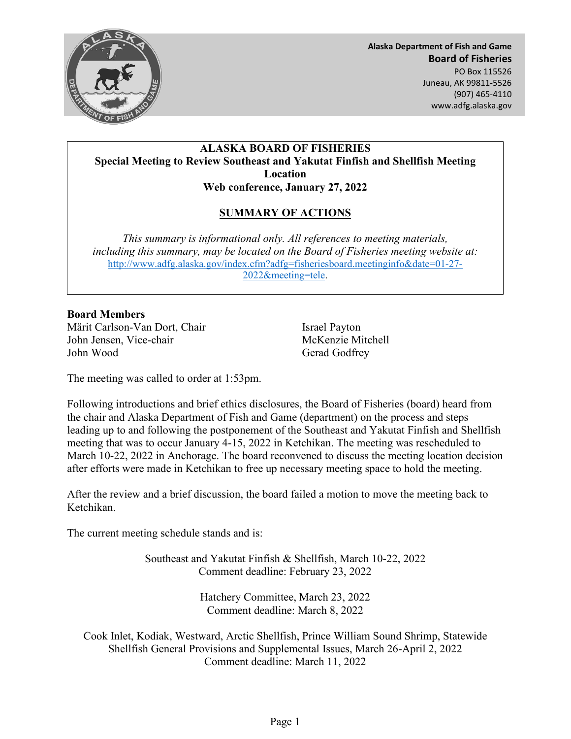

**Alaska Department of Fish and Game Board of Fisheries**  PO Box 115526 Juneau, AK 99811-5526 (907) 465-4110 www.adfg.alaska.gov

## **ALASKA BOARD OF FISHERIES Special Meeting to Review Southeast and Yakutat Finfish and Shellfish Meeting Location Web conference, January 27, 2022**

## **SUMMARY OF ACTIONS**

*This summary is informational only. All references to meeting materials, including this summary, may be located on the Board of Fisheries meeting website at:* [http://www.adfg.alaska.gov/index.cfm?adfg=fisheriesboard.meetinginfo&date=01-27-](http://www.adfg.alaska.gov/index.cfm?adfg=fisheriesboard.meetinginfo&date=01-27-2022&meeting=tele) [2022&meeting=tele.](http://www.adfg.alaska.gov/index.cfm?adfg=fisheriesboard.meetinginfo&date=01-27-2022&meeting=tele)

## **Board Members**

Märit Carlson-Van Dort, Chair **Israel Payton** John Jensen, Vice-chair McKenzie Mitchell John Wood Gerad Godfrey

The meeting was called to order at 1:53pm.

Following introductions and brief ethics disclosures, the Board of Fisheries (board) heard from the chair and Alaska Department of Fish and Game (department) on the process and steps leading up to and following the postponement of the Southeast and Yakutat Finfish and Shellfish meeting that was to occur January 4-15, 2022 in Ketchikan. The meeting was rescheduled to March 10-22, 2022 in Anchorage. The board reconvened to discuss the meeting location decision after efforts were made in Ketchikan to free up necessary meeting space to hold the meeting.

After the review and a brief discussion, the board failed a motion to move the meeting back to Ketchikan.

The current meeting schedule stands and is:

Southeast and Yakutat Finfish & Shellfish, March 10-22, 2022 Comment deadline: February 23, 2022

> Hatchery Committee, March 23, 2022 Comment deadline: March 8, 2022

Cook Inlet, Kodiak, Westward, Arctic Shellfish, Prince William Sound Shrimp, Statewide Shellfish General Provisions and Supplemental Issues, March 26-April 2, 2022 Comment deadline: March 11, 2022